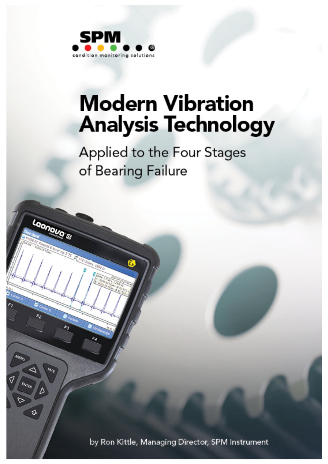

Laonava'E

# **Modern Vibration Analysis Technology**

Applied to the Four Stages of Bearing Failure

by Ron Kittle, Managing Director, SPM Instrument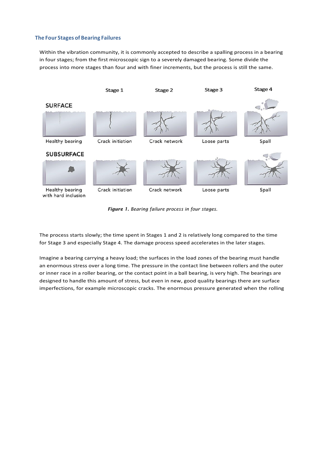#### **The Four Stages of Bearing Failures**

Within the vibration community, it is commonly accepted to describe a spalling process in a bearing in four stages; from the first microscopic sign to a severely damaged bearing. Some divide the process into more stages than four and with finer increments, but the process is still the same.



*Figure 1. Bearing failure process in four stages.*

The process starts slowly; the time spent in Stages 1 and 2 is relatively long compared to the time for Stage 3 and especially Stage 4. The damage process speed accelerates in the later stages.

Imagine a bearing carrying a heavy load; the surfaces in the load zones of the bearing must handle an enormous stress over a long time. The pressure in the contact line between rollers and the outer or inner race in a roller bearing, or the contact point in a ball bearing, is very high. The bearings are designed to handle this amount of stress, but even in new, good quality bearings there are surface imperfections, for example microscopic cracks. The enormous pressure generated when the rolling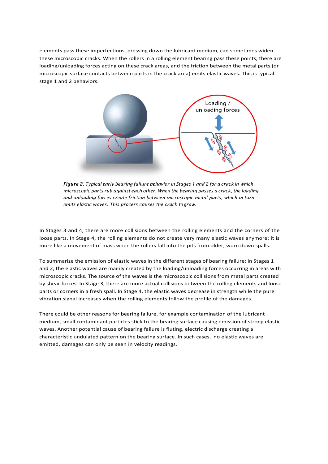elements pass these imperfections, pressing down the lubricant medium, can sometimes widen these microscopic cracks. When the rollers in a rolling element bearing pass these points, there are loading/unloading forces acting on these crack areas, and the friction between the metal parts (or microscopic surface contacts between parts in the crack area) emits elastic waves. This is typical stage 1 and 2 behaviors.



*Figure 2. Typical early bearing failure behavior in Stages 1 and 2 for a crack in which microscopic parts rub against each other. When the bearing passes a crack, the loading and unloading forces create friction between microscopic metal parts, which in turn emits elastic waves. This process causes the crack togrow.*

In Stages 3 and 4, there are more collisions between the rolling elements and the corners of the loose parts. In Stage 4, the rolling elements do not create very many elastic waves anymore; it is more like a movement of mass when the rollers fall into the pits from older, worn down spalls.

To summarize the emission of elastic waves in the different stages of bearing failure: in Stages 1 and 2, the elastic waves are mainly created by the loading/unloading forces occurring in areas with microscopic cracks. The source of the waves is the microscopic collisions from metal parts created by shear forces. In Stage 3, there are more actual collisions between the rolling elements and loose parts or corners in a fresh spall. In Stage 4, the elastic waves decrease in strength while the pure vibration signal increases when the rolling elements follow the profile of the damages.

There could be other reasons for bearing failure, for example contamination of the lubricant medium, small contaminant particles stick to the bearing surface causing emission of strong elastic waves. Another potential cause of bearing failure is fluting, electric discharge creating a characteristic undulated pattern on the bearing surface. In such cases, no elastic waves are emitted, damages can only be seen in velocity readings.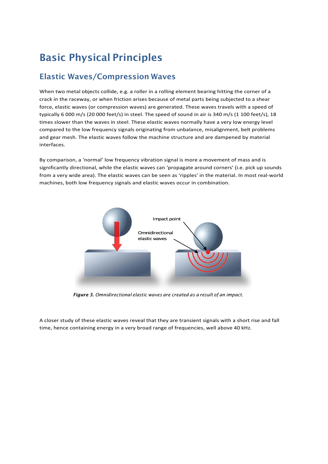## Basic Physical Principles

### Elastic Waves/Compression Waves

When two metal objects collide, e.g. a roller in a rolling element bearing hitting the corner of a crack in the raceway, or when friction arises because of metal parts being subjected to a shear force, elastic waves (or compression waves) are generated. These waves travels with a speed of typically 6 000 m/s (20 000 feet/s) in steel. The speed of sound in air is 340 m/s (1 100 feet/s), 18 times slower than the waves in steel. These elastic waves normally have a very low energy level compared to the low frequency signals originating from unbalance, misalignment, belt problems and gear mesh. The elastic waves follow the machine structure and are dampened by material interfaces.

By comparison, a 'normal' low frequency vibration signal is more a movement of mass and is significantly directional, while the elastic waves can 'propagate around corners' (i.e. pick up sounds from a very wide area). The elastic waves can be seen as 'ripples' in the material. In most real-world machines, both low frequency signals and elastic waves occur in combination.



*Figure 3. Omnidirectional elastic waves are created as a result of an impact.*

A closer study of these elastic waves reveal that they are transient signals with a short rise and fall time, hence containing energy in a very broad range of frequencies, well above 40 kHz.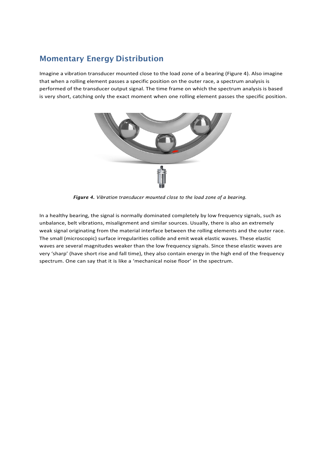### Momentary Energy Distribution

Imagine a vibration transducer mounted close to the load zone of a bearing (Figure 4). Also imagine that when a rolling element passes a specific position on the outer race, a spectrum analysis is performed of the transducer output signal. The time frame on which the spectrum analysis is based is very short, catching only the exact moment when one rolling element passes the specific position.



*Figure 4. Vibration transducer mounted close to the load zone of a bearing.*

In a healthy bearing, the signal is normally dominated completely by low frequency signals, such as unbalance, belt vibrations, misalignment and similar sources. Usually, there is also an extremely weak signal originating from the material interface between the rolling elements and the outer race. The small (microscopic) surface irregularities collide and emit weak elastic waves. These elastic waves are several magnitudes weaker than the low frequency signals. Since these elastic waves are very 'sharp' (have short rise and fall time), they also contain energy in the high end of the frequency spectrum. One can say that it is like a 'mechanical noise floor' in the spectrum.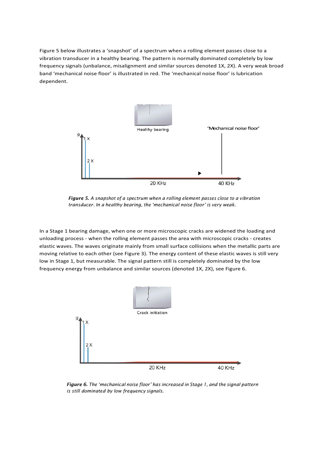Figure 5 below illustrates a 'snapshot' of a spectrum when a rolling element passes close to a vibration transducer in a healthy bearing. The pattern is normally dominated completely by low frequency signals (unbalance, misalignment and similar sources denoted 1X, 2X). A very weak broad band 'mechanical noise floor' is illustrated in red. The 'mechanical noise floor' is lubrication dependent.



*Figure 5. A snapshot of a spectrum when a rolling element passes close to a vibration transducer. In a healthy bearing, the 'mechanical noise floor' is very weak.*

In a Stage 1 bearing damage, when one or more microscopic cracks are widened the loading and unloading process - when the rolling element passes the area with microscopic cracks - creates elastic waves. The waves originate mainly from small surface collisions when the metallic parts are moving relative to each other (see Figure 3). The energy content of these elastic waves is still very low in Stage 1, but measurable. The signal pattern still is completely dominated by the low frequency energy from unbalance and similar sources (denoted 1X, 2X), see Figure 6.



*Figure 6. The 'mechanical noise floor' has increased in Stage 1, and the signal pattern is still dominated by low frequency signals.*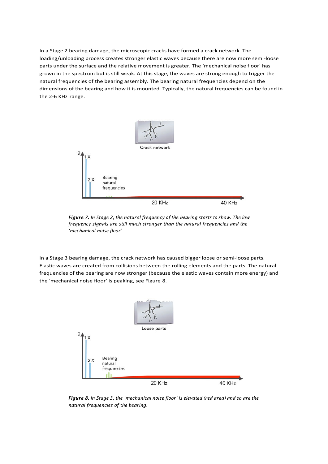In a Stage 2 bearing damage, the microscopic cracks have formed a crack network. The loading/unloading process creates stronger elastic waves because there are now more semi-loose parts under the surface and the relative movement is greater. The 'mechanical noise floor' has grown in the spectrum but is still weak. At this stage, the waves are strong enough to trigger the natural frequencies of the bearing assembly. The bearing natural frequencies depend on the dimensions of the bearing and how it is mounted. Typically, the natural frequencies can be found in the 2-6 KHz range.



*Figure 7. In Stage 2, the natural frequency of the bearing starts to show. The low frequency signals are still much stronger than the natural frequencies and the 'mechanical noise floor'.*

In a Stage 3 bearing damage, the crack network has caused bigger loose or semi-loose parts. Elastic waves are created from collisions between the rolling elements and the parts. The natural frequencies of the bearing are now stronger (because the elastic waves contain more energy) and the 'mechanical noise floor' is peaking, see Figure 8.



*Figure 8. In Stage 3, the 'mechanical noise floor' is elevated (red area) and so are the natural frequencies of the bearing.*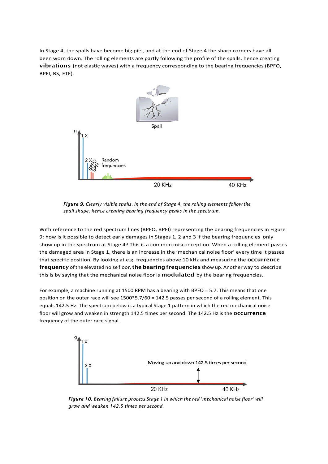In Stage 4, the spalls have become big pits, and at the end of Stage 4 the sharp corners have all been worn down. The rolling elements are partly following the profile of the spalls, hence creating vibrations (not elastic waves) with a frequency corresponding to the bearing frequencies (BPFO, BPFI, BS, FTF).



*Figure 9. Clearly visible spalls. In the end of Stage 4, the rolling elements follow the spall shape, hence creating bearing frequency peaks in the spectrum.*

With reference to the red spectrum lines (BPFO, BPFI) representing the bearing frequencies in Figure 9: how is it possible to detect early damages in Stages 1, 2 and 3 if the bearing frequencies only show up in the spectrum at Stage 4? This is a common misconception. When a rolling element passes the damaged area in Stage 1, there is an increase in the 'mechanical noise floor' every time it passes that specific position. By looking at e.g. frequencies above 10 kHz and measuring the **OCCUITENCE** frequency of the elevated noise floor, the bearing frequencies show up. Another way to describe this is by saying that the mechanical noise floor is **modulated** by the bearing frequencies.

For example, a machine running at 1500 RPM has a bearing with BPFO = 5.7. This means that one position on the outer race will see  $1500*5.7/60 = 142.5$  passes per second of a rolling element. This equals 142.5 Hz. The spectrum below is a typical Stage 1 pattern in which the red mechanical noise floor will grow and weaken in strength 142.5 times per second. The 142.5 Hz is the **occurrence** frequency of the outer race signal.



*Figure 10. Bearing failure process Stage 1 in which the red 'mechanical noise floor' will grow and weaken 142.5 times per second.*